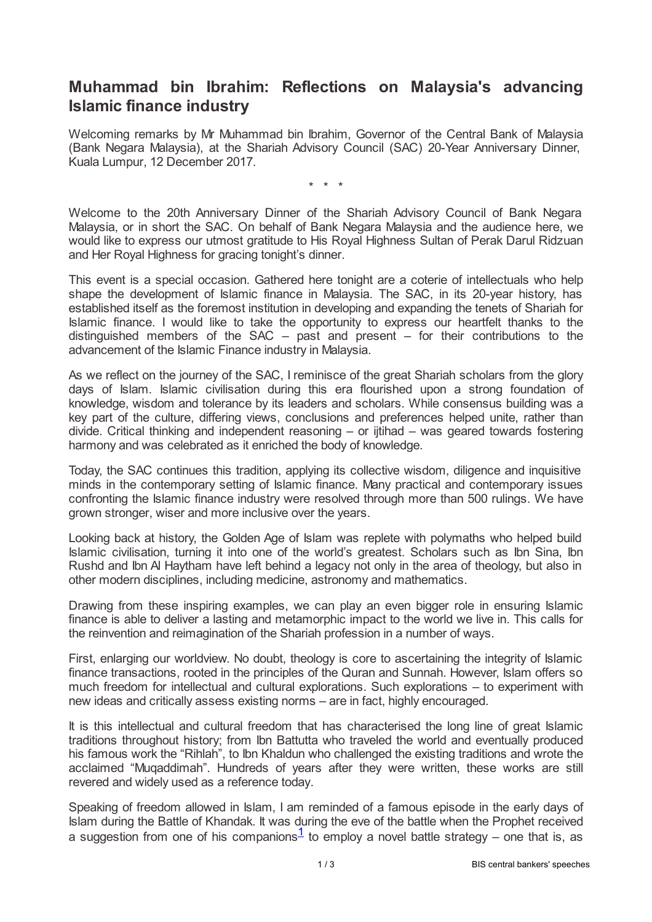## **Muhammad bin Ibrahim: Reflections on Malaysia's advancing Islamic finance industry**

Welcoming remarks by Mr Muhammad bin Ibrahim, Governor of the Central Bank of Malaysia (Bank Negara Malaysia), at the Shariah Advisory Council (SAC) 20-Year Anniversary Dinner, Kuala Lumpur, 12 December 2017.

\* \* \*

Welcome to the 20th Anniversary Dinner of the Shariah Advisory Council of Bank Negara Malaysia, or in short the SAC. On behalf of Bank Negara Malaysia and the audience here, we would like to express our utmost gratitude to His Royal Highness Sultan of Perak Darul Ridzuan and Her Royal Highness for gracing tonight's dinner.

This event is a special occasion. Gathered here tonight are a coterie of intellectuals who help shape the development of Islamic finance in Malaysia. The SAC, in its 20-year history, has established itself as the foremost institution in developing and expanding the tenets of Shariah for Islamic finance. I would like to take the opportunity to express our heartfelt thanks to the distinguished members of the SAC – past and present – for their contributions to the advancement of the Islamic Finance industry in Malaysia.

As we reflect on the journey of the SAC, I reminisce of the great Shariah scholars from the glory days of Islam. Islamic civilisation during this era flourished upon a strong foundation of knowledge, wisdom and tolerance by its leaders and scholars. While consensus building was a key part of the culture, differing views, conclusions and preferences helped unite, rather than divide. Critical thinking and independent reasoning – or ijtihad – was geared towards fostering harmony and was celebrated as it enriched the body of knowledge.

Today, the SAC continues this tradition, applying its collective wisdom, diligence and inquisitive minds in the contemporary setting of Islamic finance. Many practical and contemporary issues confronting the Islamic finance industry were resolved through more than 500 rulings. We have grown stronger, wiser and more inclusive over the years.

Looking back at history, the Golden Age of Islam was replete with polymaths who helped build Islamic civilisation, turning it into one of the world's greatest. Scholars such as Ibn Sina, Ibn Rushd and Ibn Al Haytham have left behind a legacy not only in the area of theology, but also in other modern disciplines, including medicine, astronomy and mathematics.

Drawing from these inspiring examples, we can play an even bigger role in ensuring Islamic finance is able to deliver a lasting and metamorphic impact to the world we live in. This calls for the reinvention and reimagination of the Shariah profession in a number of ways.

First, enlarging our worldview. No doubt, theology is core to ascertaining the integrity of Islamic finance transactions, rooted in the principles of the Quran and Sunnah. However, Islam offers so much freedom for intellectual and cultural explorations. Such explorations – to experiment with new ideas and critically assess existing norms – are in fact, highly encouraged.

It is this intellectual and cultural freedom that has characterised the long line of great Islamic traditions throughout history; from Ibn Battutta who traveled the world and eventually produced his famous work the "Rihlah", to Ibn Khaldun who challenged the existing traditions and wrote the acclaimed "Muqaddimah". Hundreds of years after they were written, these works are still revered and widely used as a reference today.

<span id="page-0-0"></span>Speaking of freedom allowed in Islam, I am reminded of a famous episode in the early days of Islam during the Battle of Khandak. It was during the eve of the battle when the Prophet received a suggestion from one of his companions<sup>[1](#page-2-0)</sup> to employ a novel battle strategy – one that is, as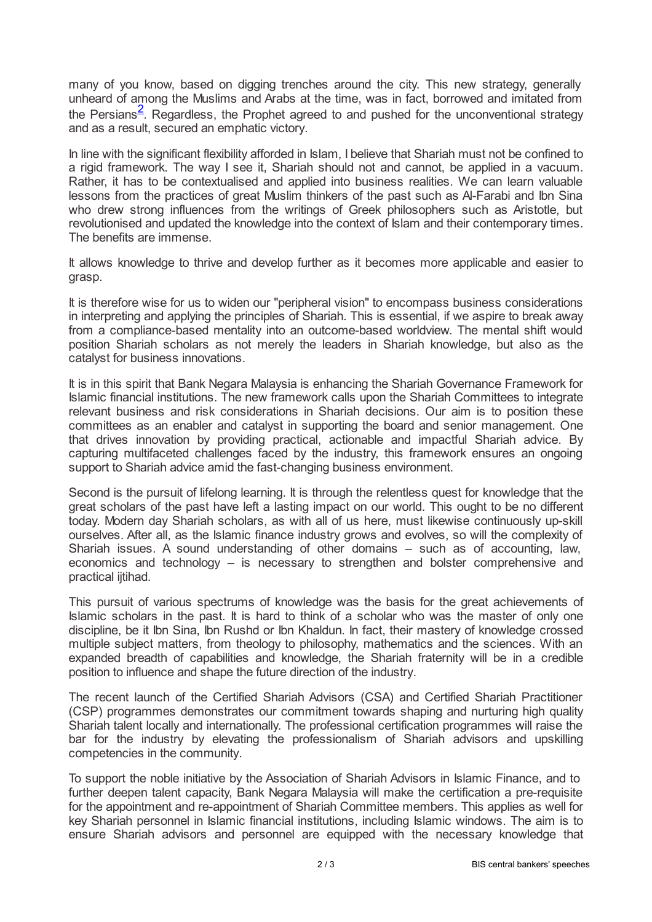<span id="page-1-0"></span>many of you know, based on digging trenches around the city. This new strategy, generally unheard of among the Muslims and Arabs at the time, was in fact, borrowed and imitated from the Persians<sup>[2](#page-2-1)</sup>. Regardless, the Prophet agreed to and pushed for the unconventional strategy and as a result, secured an emphatic victory.

In line with the significant flexibility afforded in Islam, I believe that Shariah must not be confined to a rigid framework. The way I see it, Shariah should not and cannot, be applied in a vacuum. Rather, it has to be contextualised and applied into business realities. We can learn valuable lessons from the practices of great Muslim thinkers of the past such as Al-Farabi and Ibn Sina who drew strong influences from the writings of Greek philosophers such as Aristotle, but revolutionised and updated the knowledge into the context of Islam and their contemporary times. The benefits are immense.

It allows knowledge to thrive and develop further as it becomes more applicable and easier to grasp.

It is therefore wise for us to widen our "peripheral vision" to encompass business considerations in interpreting and applying the principles of Shariah. This is essential, if we aspire to break away from a compliance-based mentality into an outcome-based worldview. The mental shift would position Shariah scholars as not merely the leaders in Shariah knowledge, but also as the catalyst for business innovations.

It is in this spirit that Bank Negara Malaysia is enhancing the Shariah Governance Framework for Islamic financial institutions. The new framework calls upon the Shariah Committees to integrate relevant business and risk considerations in Shariah decisions. Our aim is to position these committees as an enabler and catalyst in supporting the board and senior management. One that drives innovation by providing practical, actionable and impactful Shariah advice. By capturing multifaceted challenges faced by the industry, this framework ensures an ongoing support to Shariah advice amid the fast-changing business environment.

Second is the pursuit of lifelong learning. It is through the relentless quest for knowledge that the great scholars of the past have left a lasting impact on our world. This ought to be no different today. Modern day Shariah scholars, as with all of us here, must likewise continuously up-skill ourselves. After all, as the Islamic finance industry grows and evolves, so will the complexity of Shariah issues. A sound understanding of other domains – such as of accounting, law, economics and technology – is necessary to strengthen and bolster comprehensive and practical ijtihad.

This pursuit of various spectrums of knowledge was the basis for the great achievements of Islamic scholars in the past. It is hard to think of a scholar who was the master of only one discipline, be it Ibn Sina, Ibn Rushd or Ibn Khaldun. In fact, their mastery of knowledge crossed multiple subject matters, from theology to philosophy, mathematics and the sciences. With an expanded breadth of capabilities and knowledge, the Shariah fraternity will be in a credible position to influence and shape the future direction of the industry.

The recent launch of the Certified Shariah Advisors (CSA) and Certified Shariah Practitioner (CSP) programmes demonstrates our commitment towards shaping and nurturing high quality Shariah talent locally and internationally. The professional certification programmes will raise the bar for the industry by elevating the professionalism of Shariah advisors and upskilling competencies in the community.

To support the noble initiative by the Association of Shariah Advisors in Islamic Finance, and to further deepen talent capacity, Bank Negara Malaysia will make the certification a pre-requisite for the appointment and re-appointment of Shariah Committee members. This applies as well for key Shariah personnel in Islamic financial institutions, including Islamic windows. The aim is to ensure Shariah advisors and personnel are equipped with the necessary knowledge that